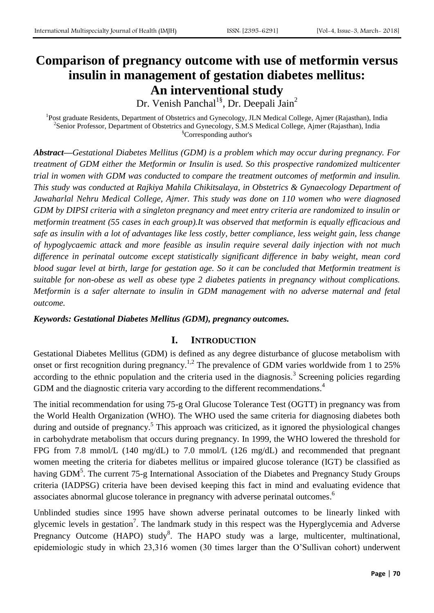# **Comparison of pregnancy outcome with use of metformin versus insulin in management of gestation diabetes mellitus: An interventional study**

Dr. Venish Panchal<sup>1§</sup>, Dr. Deepali Jain<sup>2</sup>

<sup>1</sup>Post graduate Residents, Department of Obstetrics and Gynecology, JLN Medical College, Ajmer (Rajasthan), India <sup>2</sup> Senior Professor, Department of Obstetrics and Gynecology, S.M.S Medical College, Ajmer (Rajasthan), India <sup>§</sup>Corresponding author's

*Abstract—Gestational Diabetes Mellitus (GDM) is a problem which may occur during pregnancy. For treatment of GDM either the Metformin or Insulin is used. So this prospective randomized multicenter trial in women with GDM was conducted to compare the treatment outcomes of metformin and insulin. This study was conducted at Rajkiya Mahila Chikitsalaya, in Obstetrics & Gynaecology Department of Jawaharlal Nehru Medical College, Ajmer. This study was done on 110 women who were diagnosed GDM by DIPSI criteria with a singleton pregnancy and meet entry criteria are randomized to insulin or metformin treatment (55 cases in each group).It was observed that metformin is equally efficacious and safe as insulin with a lot of advantages like less costly, better compliance, less weight gain, less change of hypoglycaemic attack and more feasible as insulin require several daily injection with not much difference in perinatal outcome except statistically significant difference in baby weight, mean cord blood sugar level at birth, large for gestation age. So it can be concluded that Metformin treatment is suitable for non-obese as well as obese type 2 diabetes patients in pregnancy without complications. Metformin is a safer alternate to insulin in GDM management with no adverse maternal and fetal outcome.* 

# *Keywords: Gestational Diabetes Mellitus (GDM), pregnancy outcomes.*

# **I. INTRODUCTION**

Gestational Diabetes Mellitus (GDM) is defined as any degree disturbance of glucose metabolism with onset or first recognition during pregnancy.<sup>1,2</sup> The prevalence of GDM varies worldwide from 1 to 25% according to the ethnic population and the criteria used in the diagnosis.<sup>3</sup> Screening policies regarding GDM and the diagnostic criteria vary according to the different recommendations.<sup>4</sup>

The initial recommendation for using 75-g Oral Glucose Tolerance Test (OGTT) in pregnancy was from the World Health Organization (WHO). The WHO used the same criteria for diagnosing diabetes both during and outside of pregnancy.<sup>5</sup> This approach was criticized, as it ignored the physiological changes in carbohydrate metabolism that occurs during pregnancy. In 1999, the WHO lowered the threshold for FPG from 7.8 mmol/L (140 mg/dL) to 7.0 mmol/L (126 mg/dL) and recommended that pregnant women meeting the criteria for diabetes mellitus or impaired glucose tolerance (IGT) be classified as having GDM<sup>5</sup>. The current 75-g International Association of the Diabetes and Pregnancy Study Groups criteria (IADPSG) criteria have been devised keeping this fact in mind and evaluating evidence that associates abnormal glucose tolerance in pregnancy with adverse perinatal outcomes.<sup>6</sup>

Unblinded studies since 1995 have shown adverse perinatal outcomes to be linearly linked with glycemic levels in gestation<sup>7</sup>. The landmark study in this respect was the Hyperglycemia and Adverse Pregnancy Outcome (HAPO) study<sup>8</sup>. The HAPO study was a large, multicenter, multinational, epidemiologic study in which 23,316 women (30 times larger than the O'Sullivan cohort) underwent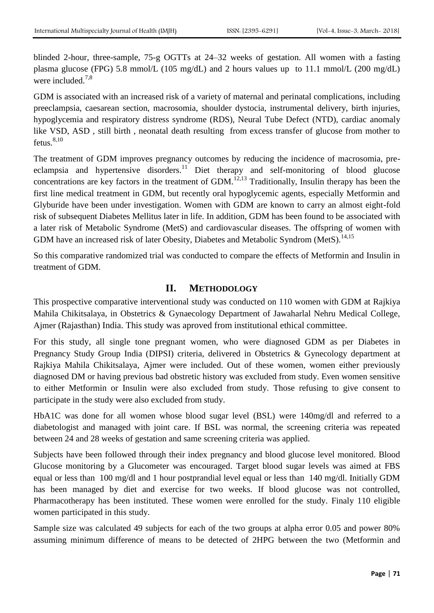blinded 2-hour, three-sample, 75-g OGTTs at 24–32 weeks of gestation. All women with a fasting plasma glucose (FPG) 5.8 mmol/L (105 mg/dL) and 2 hours values up to 11.1 mmol/L (200 mg/dL) were included. $7,8$ 

GDM is associated with an increased risk of a variety of maternal and perinatal complications, including preeclampsia, caesarean section, macrosomia, shoulder dystocia, instrumental delivery, birth injuries, hypoglycemia and respiratory distress syndrome (RDS), Neural Tube Defect (NTD), cardiac anomaly like VSD, ASD , still birth , neonatal death resulting from excess transfer of glucose from mother to fetus. $8,10$ 

The treatment of GDM improves pregnancy outcomes by reducing the incidence of macrosomia, preeclampsia and hypertensive disorders.<sup>11</sup> Diet therapy and self-monitoring of blood glucose concentrations are key factors in the treatment of GDM.<sup>12,13</sup> Traditionally, Insulin therapy has been the first line medical treatment in GDM, but recently oral hypoglycemic agents, especially Metformin and Glyburide have been under investigation. Women with GDM are known to carry an almost eight-fold risk of subsequent Diabetes Mellitus later in life. In addition, GDM has been found to be associated with a later risk of Metabolic Syndrome (MetS) and cardiovascular diseases. The offspring of women with GDM have an increased risk of later Obesity, Diabetes and Metabolic Syndrom (MetS).<sup>14,15</sup>

So this comparative randomized trial was conducted to compare the effects of Metformin and Insulin in treatment of GDM.

# **II. METHODOLOGY**

This prospective comparative interventional study was conducted on 110 women with GDM at Rajkiya Mahila Chikitsalaya, in Obstetrics & Gynaecology Department of Jawaharlal Nehru Medical College, Ajmer (Rajasthan) India. This study was aproved from institutional ethical committee.

For this study, all single tone pregnant women, who were diagnosed GDM as per Diabetes in Pregnancy Study Group India (DIPSI) criteria, delivered in Obstetrics & Gynecology department at Rajkiya Mahila Chikitsalaya, Ajmer were included. Out of these women, women either previously diagnosed DM or having previous bad obstretic history was excluded from study. Even women sensitive to either Metformin or Insulin were also excluded from study. Those refusing to give consent to participate in the study were also excluded from study.

HbA1C was done for all women whose blood sugar level (BSL) were 140mg/dl and referred to a diabetologist and managed with joint care. If BSL was normal, the screening criteria was repeated between 24 and 28 weeks of gestation and same screening criteria was applied.

Subjects have been followed through their index pregnancy and blood glucose level monitored. Blood Glucose monitoring by a Glucometer was encouraged. Target blood sugar levels was aimed at FBS equal or less than 100 mg/dl and 1 hour postprandial level equal or less than 140 mg/dl. Initially GDM has been managed by diet and exercise for two weeks. If blood glucose was not controlled, Pharmacotherapy has been instituted. These women were enrolled for the study. Finaly 110 eligible women participated in this study.

Sample size was calculated 49 subjects for each of the two groups at alpha error 0.05 and power 80% assuming minimum difference of means to be detected of 2HPG between the two (Metformin and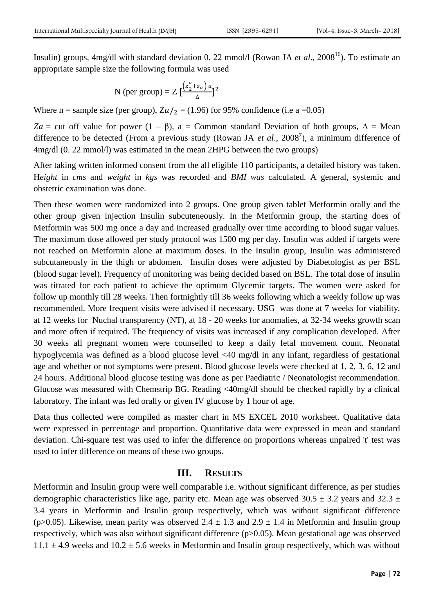Insulin) groups, 4mg/dl with standard deviation 0. 22 mmol/l (Rowan JA *et al.*, 2008<sup>16</sup>). To estimate an appropriate sample size the following formula was used

N (per group) = 
$$
Z \left[ \frac{(z_2^{\alpha} + z_a) a}{\Delta} \right]^2
$$

Where n = sample size (per group),  $Za/2 = (1.96)$  for 95% confidence (i.e a =0.05)

Za = cut off value for power (1 – β), a = Common standard Deviation of both groups,  $\Delta$  = Mean difference to be detected (From a previous study (Rowan JA *et al.*, 2008<sup>7</sup>), a minimum difference of 4mg/dl (0. 22 mmol/l) was estimated in the mean 2HPG between the two groups)

After taking written informed consent from the all eligible 110 participants, a detailed history was taken. H*eight* in *cms* and *weight* in *kgs* was recorded and *BMI was* calculated. A general, systemic and obstetric examination was done.

Then these women were randomized into 2 groups. One group given tablet Metformin orally and the other group given injection Insulin subcuteneously. In the Metformin group, the starting does of Metformin was 500 mg once a day and increased gradually over time according to blood sugar values. The maximum dose allowed per study protocol was 1500 mg per day. Insulin was added if targets were not reached on Metformin alone at maximum doses. In the Insulin group, Insulin was administered subcutaneously in the thigh or abdomen. Insulin doses were adjusted by Diabetologist as per BSL (blood sugar level). Frequency of monitoring was being decided based on BSL. The total dose of insulin was titrated for each patient to achieve the optimum Glycemic targets. The women were asked for follow up monthly till 28 weeks. Then fortnightly till 36 weeks following which a weekly follow up was recommended. More frequent visits were advised if necessary. USG was done at 7 weeks for viability, at 12 weeks for Nuchal transparency (NT), at 18 - 20 weeks for anomalies, at 32-34 weeks growth scan and more often if required. The frequency of visits was increased if any complication developed. After 30 weeks all pregnant women were counselled to keep a daily fetal movement count. Neonatal hypoglycemia was defined as a blood glucose level <40 mg/dl in any infant, regardless of gestational age and whether or not symptoms were present. Blood glucose levels were checked at 1, 2, 3, 6, 12 and 24 hours. Additional blood glucose testing was done as per Paediatric / Neonatologist recommendation. Glucose was measured with Chemstrip BG. Reading <40mg/dl should be checked rapidly by a clinical laboratory. The infant was fed orally or given IV glucose by 1 hour of age.

Data thus collected were compiled as master chart in MS EXCEL 2010 worksheet. Qualitative data were expressed in percentage and proportion. Quantitative data were expressed in mean and standard deviation. Chi-square test was used to infer the difference on proportions whereas unpaired 't' test was used to infer difference on means of these two groups.

#### **III. RESULTS**

Metformin and Insulin group were well comparable i.e. without significant difference, as per studies demographic characteristics like age, parity etc. Mean age was observed  $30.5 \pm 3.2$  years and  $32.3 \pm 1.2$ 3.4 years in Metformin and Insulin group respectively, which was without significant difference (p>0.05). Likewise, mean parity was observed  $2.4 \pm 1.3$  and  $2.9 \pm 1.4$  in Metformin and Insulin group respectively, which was also without significant difference (p>0.05). Mean gestational age was observed  $11.1 \pm 4.9$  weeks and  $10.2 \pm 5.6$  weeks in Metformin and Insulin group respectively, which was without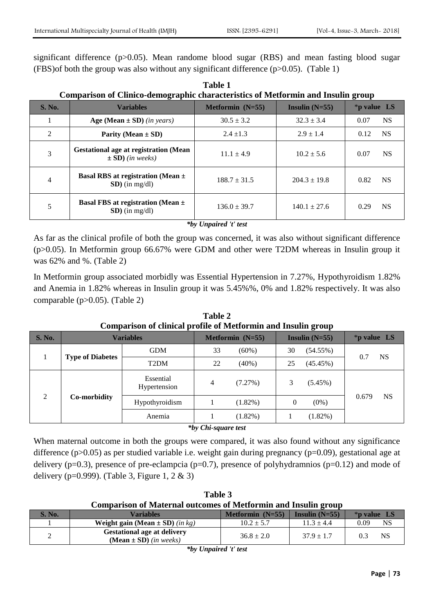significant difference (p>0.05). Mean randome blood sugar (RBS) and mean fasting blood sugar (FBS) of both the group was also without any significant difference  $(p>0.05)$ . (Table 1)

**Table 1 Comparison of Clinico-demographic characteristics of Metformin and Insulin group**

| <b>S. No.</b>  | <b>Variables</b>                                                     | <b>Metformin</b> $(N=55)$ | Insulin $(N=55)$ | $*$ p value LS    |
|----------------|----------------------------------------------------------------------|---------------------------|------------------|-------------------|
|                | Age (Mean $\pm$ SD) (in years)                                       | $30.5 \pm 3.2$            | $32.3 \pm 3.4$   | NS.<br>0.07       |
| $\mathcal{L}$  | Parity (Mean $\pm$ SD)                                               | $2.4 \pm 1.3$             | $2.9 \pm 1.4$    | <b>NS</b><br>0.12 |
| 3              | <b>Gestational age at registration (Mean</b><br>$\pm$ SD) (in weeks) | $11.1 \pm 4.9$            | $10.2 \pm 5.6$   | <b>NS</b><br>0.07 |
| $\overline{4}$ | Basal RBS at registration (Mean $\pm$<br>$SD$ ) (in mg/dl)           | $188.7 \pm 31.5$          | $204.3 \pm 19.8$ | <b>NS</b><br>0.82 |
| 5              | Basal FBS at registration (Mean $\pm$<br>$SD$ ) (in mg/dl)           | $136.0 \pm 39.7$          | $140.1 \pm 27.6$ | <b>NS</b><br>0.29 |

*\*by Unpaired 't' test*

As far as the clinical profile of both the group was concerned, it was also without significant difference (p>0.05). In Metformin group 66.67% were GDM and other were T2DM whereas in Insulin group it was 62% and %. (Table 2)

In Metformin group associated morbidly was Essential Hypertension in 7.27%, Hypothyroidism 1.82% and Anemia in 1.82% whereas in Insulin group it was 5.45%%, 0% and 1.82% respectively. It was also comparable (p>0.05). (Table 2)

| Comparison of chincar prome or wietrormm and misumi group |                         |                           |                           |            |                  |             |               |           |
|-----------------------------------------------------------|-------------------------|---------------------------|---------------------------|------------|------------------|-------------|---------------|-----------|
| <b>S. No.</b>                                             | <b>Variables</b>        |                           | <b>Metformin</b> $(N=55)$ |            | Insulin $(N=55)$ |             | $*p$ value LS |           |
|                                                           | <b>Type of Diabetes</b> | <b>GDM</b>                | 33                        | $(60\%)$   | 30               | $(54.55\%)$ |               |           |
|                                                           |                         | T <sub>2</sub> DM         | 22                        | $(40\%)$   | 25               | (45.45%)    | 0.7           | <b>NS</b> |
| $\mathfrak{D}$                                            | Co-morbidity            | Essential<br>Hypertension | 4                         | (7.27%)    |                  | $(5.45\%)$  |               |           |
|                                                           |                         | Hypothyroidism            |                           | $(1.82\%)$ | $\theta$         | $(0\%)$     | 0.679         | <b>NS</b> |
|                                                           |                         | Anemia                    |                           | $(1.82\%)$ |                  | $(1.82\%)$  |               |           |

**Table 2 Comparison of clinical profile of Metformin and Insulin group**

*\*by Chi-square test*

When maternal outcome in both the groups were compared, it was also found without any significance difference (p>0.05) as per studied variable i.e. weight gain during pregnancy (p=0.09), gestational age at delivery ( $p=0.3$ ), presence of pre-eclampcia ( $p=0.7$ ), presence of polyhydramnios ( $p=0.12$ ) and mode of delivery (p=0.999). (Table 3, Figure 1, 2 & 3)

| Table 3                                                               |  |  |  |  |  |  |
|-----------------------------------------------------------------------|--|--|--|--|--|--|
| <b>Comparison of Maternal outcomes of Metformin and Insulin group</b> |  |  |  |  |  |  |
|                                                                       |  |  |  |  |  |  |

| S. No. | Variables                                                                                 | Metformin $(N=55)$ | Insulin $(N=55)$ | $*$ p value LS   |  |  |  |
|--------|-------------------------------------------------------------------------------------------|--------------------|------------------|------------------|--|--|--|
|        | <b>Weight gain (Mean <math>\pm</math> SD)</b> (in kg)                                     | $10.2 \pm 5.7$     | $11.3 + 4.4$     | NS<br>0.09       |  |  |  |
|        | <b>Gestational age at delivery</b><br>( <b>Mean</b> $\pm$ <b>SD</b> ) ( <i>in weeks</i> ) | $36.8 \pm 2.0$     | $37.9 \pm 1.7$   | <b>NS</b><br>0.3 |  |  |  |
| .      |                                                                                           |                    |                  |                  |  |  |  |

*\*by Unpaired 't' test*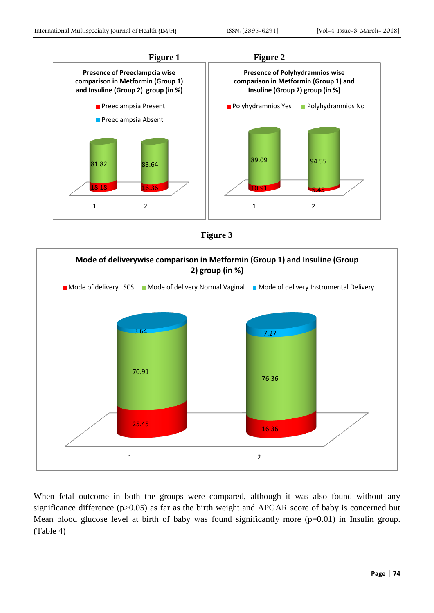





When fetal outcome in both the groups were compared, although it was also found without any significance difference (p>0.05) as far as the birth weight and APGAR score of baby is concerned but Mean blood glucose level at birth of baby was found significantly more (p=0.01) in Insulin group. (Table 4)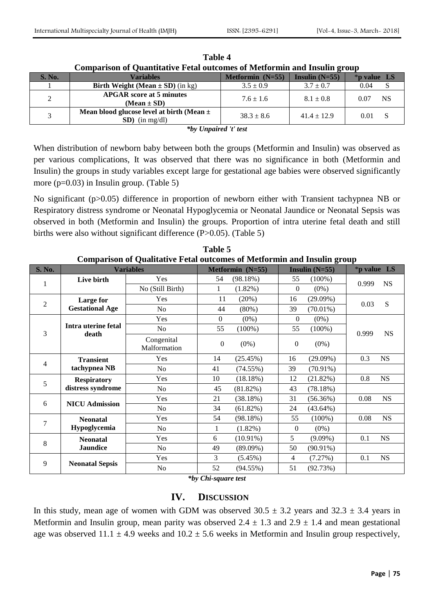| S. No. | <b>Variables</b>                                                  | Metformin $(N=55)$ | Insulin $(N=55)$ | $*$ p value LS    |
|--------|-------------------------------------------------------------------|--------------------|------------------|-------------------|
|        | <b>Birth Weight (Mean <math>\pm</math> SD) (in kg)</b>            | $3.5 \pm 0.9$      | $3.7 \pm 0.7$    | 0.04              |
|        | <b>APGAR</b> score at 5 minutes<br>$(Mean \pm SD)$                | $7.6 \pm 1.6$      | $8.1 \pm 0.8$    | <b>NS</b><br>0.07 |
|        | Mean blood glucose level at birth (Mean $\pm$<br>$SD)$ (in mg/dl) | $38.3 \pm 8.6$     | $41.4 \pm 12.9$  | 0.01              |

**Table 4 Comparison of Quantitative Fetal outcomes of Metformin and Insulin group**

*\*by Unpaired 't' test*

When distribution of newborn baby between both the groups (Metformin and Insulin) was observed as per various complications, It was observed that there was no significance in both (Metformin and Insulin) the groups in study variables except large for gestational age babies were observed significantly more (p=0.03) in Insulin group. (Table 5)

No significant (p>0.05) difference in proportion of newborn either with Transient tachypnea NB or Respiratory distress syndrome or Neonatal Hypoglycemia or Neonatal Jaundice or Neonatal Sepsis was observed in both (Metformin and Insulin) the groups*.* Proportion of intra uterine fetal death and still births were also without significant difference (P>0.05). (Table 5)

| Comparison of Qualitative Fetal outcomes of Metiormin and Insulin group |                              |                            |                             |                           |                    |  |  |
|-------------------------------------------------------------------------|------------------------------|----------------------------|-----------------------------|---------------------------|--------------------|--|--|
| <b>S. No.</b>                                                           |                              | <b>Variables</b>           | Metformin (N=55)            | Insulin $(N=55)$          | *p value LS        |  |  |
| 1                                                                       | Live birth                   | Yes                        | 54<br>(98.18%)              | 55<br>$(100\%)$           | <b>NS</b><br>0.999 |  |  |
|                                                                         |                              | No (Still Birth)           | 1<br>$(1.82\%)$             | $\overline{0}$<br>$(0\%)$ |                    |  |  |
| $\mathbf{2}$                                                            | Large for                    | Yes                        | 11<br>(20%)                 | $(29.09\%)$<br>16         | 0.03<br>${\bf S}$  |  |  |
|                                                                         | <b>Gestational Age</b>       | N <sub>o</sub>             | 44<br>$(80\%)$              | $(70.01\%)$<br>39         |                    |  |  |
|                                                                         |                              | Yes                        | $\overline{0}$<br>$(0\%)$   | $\overline{0}$<br>$(0\%)$ |                    |  |  |
| 3                                                                       | Intra uterine fetal<br>death | N <sub>o</sub>             | 55<br>$(100\%)$             | 55<br>$(100\%)$           | 0.999<br><b>NS</b> |  |  |
|                                                                         |                              | Congenital<br>Malformation | $\boldsymbol{0}$<br>$(0\%)$ | $(0\%)$<br>0              |                    |  |  |
| 4                                                                       | <b>Transient</b>             | Yes                        | 14<br>(25.45%)              | $(29.09\%)$<br>16         | NS<br>0.3          |  |  |
|                                                                         | tachypnea NB                 | N <sub>o</sub>             | 41<br>(74.55%)              | 39<br>$(70.91\%)$         |                    |  |  |
| 5                                                                       | <b>Respiratory</b>           | Yes                        | 10<br>(18.18%)              | 12<br>(21.82%)            | 0.8<br><b>NS</b>   |  |  |
|                                                                         | distress syndrome            | No                         | 45<br>(81.82%)              | (78.18%)<br>43            |                    |  |  |
| 6                                                                       | <b>NICU Admission</b>        | Yes                        | 21<br>(38.18%)              | 31<br>(56.36%)            | <b>NS</b><br>0.08  |  |  |
|                                                                         |                              | N <sub>o</sub>             | 34<br>(61.82%)              | 24<br>$(43.64\%)$         |                    |  |  |
| 7                                                                       | <b>Neonatal</b>              | Yes                        | 54<br>(98.18%)              | 55<br>$(100\%)$           | 0.08<br><b>NS</b>  |  |  |
|                                                                         | Hypoglycemia                 | N <sub>o</sub>             | $(1.82\%)$<br>1             | $\overline{0}$<br>$(0\%)$ |                    |  |  |
| 8                                                                       | <b>Neonatal</b>              | Yes                        | 6<br>$(10.91\%)$            | 5<br>$(9.09\%)$           | 0.1<br><b>NS</b>   |  |  |
|                                                                         | <b>Jaundice</b>              | N <sub>o</sub>             | 49<br>$(89.09\%)$           | 50<br>$(90.91\%)$         |                    |  |  |
| 9                                                                       | <b>Neonatal Sepsis</b>       | Yes                        | 3<br>$(5.45\%)$             | (7.27%)<br>4              | NS<br>0.1          |  |  |
|                                                                         |                              | No                         | 52<br>$(94.55\%)$           | 51<br>(92.73%)            |                    |  |  |

**Table 5 Comparison of Qualitative Fetal outcomes of Metformin and Insulin group**

*\*by Chi-square test*

# **IV. DISCUSSION**

In this study, mean age of women with GDM was observed  $30.5 \pm 3.2$  years and  $32.3 \pm 3.4$  years in Metformin and Insulin group, mean parity was observed  $2.4 \pm 1.3$  and  $2.9 \pm 1.4$  and mean gestational age was observed  $11.1 \pm 4.9$  weeks and  $10.2 \pm 5.6$  weeks in Metformin and Insulin group respectively,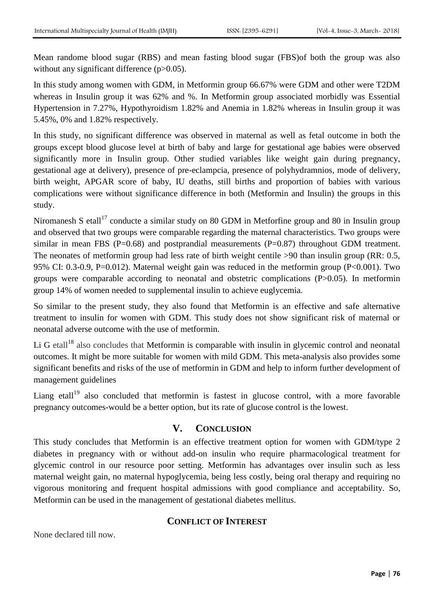Mean randome blood sugar (RBS) and mean fasting blood sugar (FBS)of both the group was also without any significant difference (p>0.05).

In this study among women with GDM, in Metformin group 66.67% were GDM and other were T2DM whereas in Insulin group it was 62% and %. In Metformin group associated morbidly was Essential Hypertension in 7.27%, Hypothyroidism 1.82% and Anemia in 1.82% whereas in Insulin group it was 5.45%, 0% and 1.82% respectively.

In this study, no significant difference was observed in maternal as well as fetal outcome in both the groups except blood glucose level at birth of baby and large for gestational age babies were observed significantly more in Insulin group. Other studied variables like weight gain during pregnancy, gestational age at delivery), presence of pre-eclampcia, presence of polyhydramnios, mode of delivery, birth weight, APGAR score of baby, IU deaths, still births and proportion of babies with various complications were without significance difference in both (Metformin and Insulin) the groups in this study.

Niromanesh S etall<sup>17</sup> conducte a similar study on 80 GDM in Metforfine group and 80 in Insulin group and observed that two groups were comparable regarding the maternal characteristics. Two groups were similar in mean FBS ( $P=0.68$ ) and postprandial measurements ( $P=0.87$ ) throughout GDM treatment. The neonates of metformin group had less rate of birth weight centile >90 than insulin group (RR: 0.5, 95% CI: 0.3-0.9, P=0.012). Maternal weight gain was reduced in the metformin group (P<0.001). Two groups were comparable according to neonatal and obstetric complications (P>0.05). In metformin group 14% of women needed to supplemental insulin to achieve euglycemia.

So similar to the present study, they also found that Metformin is an effective and safe alternative treatment to insulin for women with GDM. This study does not show significant risk of maternal or neonatal adverse outcome with the use of metformin.

Li G etall<sup>18</sup> also concludes that Metformin is comparable with insulin in glycemic control and neonatal outcomes. It might be more suitable for women with mild GDM. This meta-analysis also provides some significant benefits and risks of the use of metformin in GDM and help to inform further development of management guidelines

Liang etall<sup>19</sup> also concluded that metformin is fastest in glucose control, with a more favorable pregnancy outcomes-would be a better option, but its rate of glucose control is the lowest.

# **V. CONCLUSION**

This study concludes that Metformin is an effective treatment option for women with GDM/type 2 diabetes in pregnancy with or without add-on insulin who require pharmacological treatment for glycemic control in our resource poor setting. Metformin has advantages over insulin such as less maternal weight gain, no maternal hypoglycemia, being less costly, being oral therapy and requiring no vigorous monitoring and frequent hospital admissions with good compliance and acceptability. So, Metformin can be used in the management of gestational diabetes mellitus.

#### **CONFLICT OF INTEREST**

None declared till now.